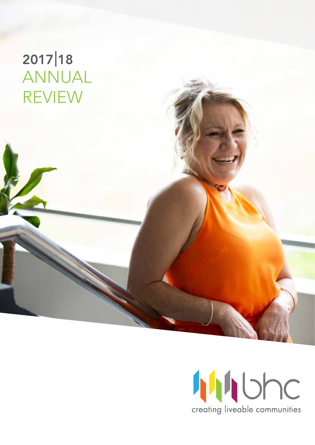# ANNUAL REVIEW 2017 | 18

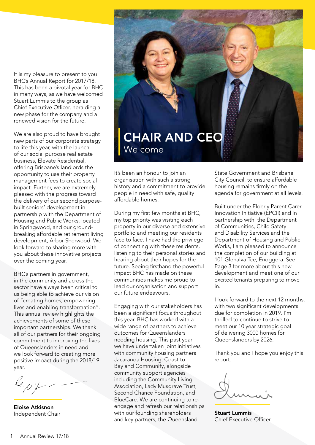It is my pleasure to present to you BHC's Annual Report for 2017/18. This has been a pivotal year for BHC in many ways, as we have welcomed Stuart Lummis to the group as Chief Executive Officer, heralding a new phase for the company and a renewed vision for the future.

We are also proud to have brought new parts of our corporate strategy to life this year, with the launch of our social purpose real estate business, Elevate Residential, offering Brisbane's landlords the opportunity to use their property management fees to create social impact. Further, we are extremely pleased with the progress toward the delivery of our second purposebuilt seniors' development in partnership with the Department of Housing and Public Works, located in Springwood, and our groundbreaking affordable retirement living development, Arbor Sherwood. We look forward to sharing more with you about these innovative projects over the coming year.

BHC's partners in government, in the community and across the sector have always been critical to us being able to achieve our vision of "creating homes, empowering lives and enabling transformation". This annual review highlights the achievements of some of these important partnerships. We thank all of our partners for their ongoing commitment to improving the lives of Queenslanders in need and we look forward to creating more positive impact during the 2018/19 year.

Eloise Atkisnon Independent Chair



It's been an honour to join an organisation with such a strong history and a commitment to provide people in need with safe, quality affordable homes.

During my first few months at BHC, my top priority was visiting each property in our diverse and extensive portfolio and meeting our residents face to face. I have had the privilege of connecting with these residents, listening to their personal stories and hearing about their hopes for the future. Seeing firsthand the powerful impact BHC has made on these communities makes me proud to lead our organisation and support our future endeavours.

Engaging with our stakeholders has been a significant focus throughout this year. BHC has worked with a wide range of partners to achieve outcomes for Queenslanders needing housing. This past year we have undertaken joint initiatives with community housing partners Jacaranda Housing, Coast to Bay and Communify, alongside community support agencies including the Community Living Association, Lady Musgrave Trust, Second Chance Foundation, and BlueCare. We are continuing to reengage and refresh our relationships with our founding shareholders and key partners, the Queensland

State Government and Brisbane City Council, to ensure affordable housing remains firmly on the agenda for government at all levels.

Built under the Elderly Parent Carer Innovation Initiative (EPCII) and in partnership with the Department of Communities, Child Safety and Disability Services and the Department of Housing and Public Works, I am pleased to announce the completion of our building at 101 Glenalva Tce, Enoggera. See Page 3 for more about this new development and meet one of our excited tenants preparing to move in.

I look forward to the next 12 months, with two significant developments due for completion in 2019. I'm thrilled to continue to strive to meet our 10 year strategic goal of delivering 3000 homes for Queenslanders by 2026.

Thank you and I hope you enjoy this report.

Stuart Lummis Chief Executive Officer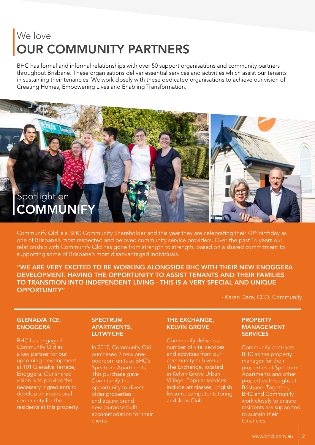### We love OUR COMMUNITY PARTNERS

BHC has formal and informal relationships with over 50 support organisations and community partners throughout Brisbane. These organisations deliver essential services and activities which assist our tenants in sustaining their tenancies. We work closely with these dedicated organisations to achieve our vision of Creating Homes, Empowering Lives and Enabling Transformation.



Communify Qld is a BHC Community Shareholder and this year they are celebrating their 40<sup>th</sup> birthday as one of Brisbane's most respected and beloved community service providers. Over the past 16 years our relationship with Communify Qld has gone from strength to strength, based on a shared commitment to supporting some of Brisbane's most disadvantaged individuals.

"WE ARE VERY EXCITED TO BE WORKING ALONGSIDE BHC WITH THEIR NEW ENOGGERA DEVELOPMENT. HAVING THE OPPORTUNITY TO ASSIST TENANTS AND THEIR FAMILIES TO TRANSITION INTO INDEPENDENT LIVING - THIS IS A VERY SPECIAL AND UNIQUE OPPORTUNITY"

- Karen Dare, CEO, Communify

#### **GLENALVA TCE. ENOGGERA**

BHC has engaged Communify Qld as a key partner for our upcoming development at 101 Glenalva Terrace, Enoggera. Our shared vision is to provide the necessary ingredients to develop an intentional community for the residents at this property.

#### **SPECTRUM** APARTMENTS, **LUTWYCHE**

In 2017, Communify Qld purchased 7 new onebedroom units at BHC's Spectrum Apartments. This purchase gave Communify the opportunity to divest older properties and aquire brand new, purpose built accommodation for their clients.

#### THE EXCHANGE, KELVIN GROVE

Communify delivers a number of vital services and activities from our community hub venue, The Exchange, located in Kelvin Grove Urban Village. Popular services include art classes, English lessons, computer tutoring and Jobs Club.

#### PROPERTY MANAGEMENT **SERVICES**

Communify contracts BHC as the property manager for their properties at Spectrum Apartments and other properties throughout Brisbane. Together, BHC and Communify work closely to ensure residents are supported to sustain their tenancies.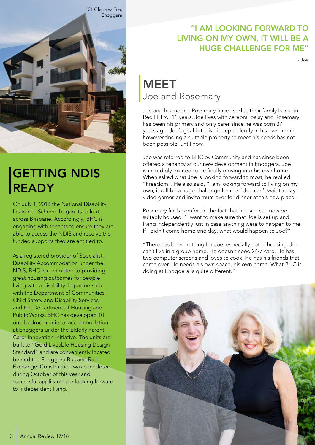

## GETTING NDIS READY

On July 1, 2018 the National Disability Insurance Scheme began its rollout across Brisbane. Accordingly, BHC is engaging with tenants to ensure they are able to access the NDIS and receive the funded supports they are entitled to.

As a registered provider of Specialist Disability Accommodation under the NDIS, BHC is committed to providing great housing outcomes for people living with a disability. In partnership with the Department of Communities, Child Safety and Disability Services and the Department of Housing and Public Works, BHC has developed 10 one-bedroom units of accommodation at Enoggera under the Elderly Parent Carer Innovation Initiative. The units are built to "Gold Liveable Housing Design Standard" and are conveniently located behind the Enoggera Bus and Rail Exchange. Construction was completed during October of this year and successful applicants are looking forward to independent living.

### "I AM LOOKING FORWARD TO LIVING ON MY OWN, IT WILL BE A HUGE CHALLENGE FOR ME"

- Joe

### Joe and Rosemary **MEET**

Joe and his mother Rosemary have lived at their family home in Red Hill for 11 years. Joe lives with cerebral palsy and Rosemary has been his primary and only carer since he was born 37 years ago. Joe's goal is to live independently in his own home, however finding a suitable property to meet his needs has not been possible, until now.

Joe was referred to BHC by Communify and has since been offered a tenancy at our new development in Enoggera. Joe is incredibly excited to be finally moving into his own home. When asked what Joe is looking forward to most, he replied "Freedom". He also said, "I am looking forward to living on my own, it will be a huge challenge for me." Joe can't wait to play video games and invite mum over for dinner at this new place.

Rosemary finds comfort in the fact that her son can now be suitably housed. "I want to make sure that Joe is set up and living independently just in case anything were to happen to me. If I didn't come home one day, what would happen to Joe?"

"There has been nothing for Joe, especially not in housing. Joe can't live in a group home. He doesn't need 24/7 care. He has two computer screens and loves to cook. He has his friends that come over. He needs his own space, his own home. What BHC is doing at Enoggera is quite different."

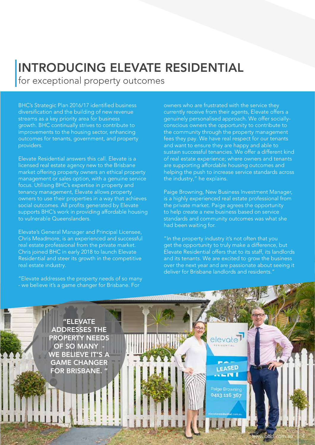### INTRODUCING ELEVATE RESIDENTIAL for exceptional property outcomes

BHC's Strategic Plan 2016/17 identified business diversification and the building of new revenue streams as a key priority area for business growth. BHC continually strives to contribute to improvements to the housing sector, enhancing outcomes for tenants, government, and property providers.

Elevate Residential answers this call. Elevate is a licensed real estate agency new to the Brisbane market offering property owners an ethical property management or sales option, with a genuine service focus. Utilising BHC's expertise in property and tenancy management, Elevate allows property owners to use their properties in a way that achieves social outcomes. All profits generated by Elevate supports BHC's work in providing affordable housing to vulnerable Queenslanders.

Elevate's General Manager and Principal Licensee, Chris Meadmore, is an experienced and successful real estate professional from the private market. Chris joined BHC in early 2018 to launch Elevate Residential and steer its growth in the competitive real estate industry.

"Elevate addresses the property needs of so many - we believe it's a game changer for Brisbane. For

owners who are frustrated with the service they currently receive from their agents, Elevate offers a genuinely personalised approach. We offer sociallyconscious owners the opportunity to contribute to the community through the property management fees they pay. We have real respect for our tenants and want to ensure they are happy and able to sustain successful tenancies. We offer a different kind of real estate experience; where owners and tenants are supporting affordable housing outcomes and helping the push to increase service standards across the industry," he explains.

Paige Browning, New Business Investment Manager, is a highly experienced real estate professional from the private market. Paige agrees the opportunity to help create a new business based on service standards and community outcomes was what she had been waiting for.

"In the property industry it's not often that you get the opportunity to truly make a difference, but Elevate Residential offers that to its staff, its landlords and its tenants. We are excited to grow the business over the next year and are passionate about seeing it deliver for Brisbane landlords and residents."

elevate

LEASED  $-11$ 

Paige Browning 0413 116 367

"ELEVATE ADDRESSES THE PROPERTY NEEDS OF SO MANY WE BELIEVE IT'S A GAME CHANGER FOR BRISBANE.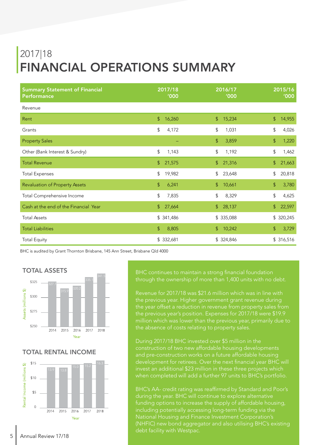# 2017|18 FINANCIAL OPERATIONS SUMMARY

| <b>Summary Statement of Financial</b> | 2017/18        | 2016/17               | 2015/16     |
|---------------------------------------|----------------|-----------------------|-------------|
| <b>Performance</b>                    | '000           | <b>'000</b>           | '000        |
| Revenue                               |                |                       |             |
| Rent                                  | $\mathfrak{L}$ | $\mathfrak{S}$        | \$          |
|                                       | 16,260         | 15,234                | 14,955      |
| Grants                                | \$             | \$                    | \$          |
|                                       | 4,172          | 1,031                 | 4,026       |
| <b>Property Sales</b>                 |                | $\mathbb{S}$<br>3,859 | \$<br>1,220 |
| Other (Bank Interest & Sundry)        | \$             | \$                    | \$          |
|                                       | 1,143          | 1,192                 | 1,462       |
| <b>Total Revenue</b>                  | \$             | 21,316                | \$          |
|                                       | 21,575         | $\mathfrak{S}$        | 21,663      |
| <b>Total Expenses</b>                 | \$             | \$                    | \$          |
|                                       | 19,982         | 23,648                | 20,818      |
| <b>Revaluation of Property Assets</b> | \$             | $\frac{1}{2}$         | \$          |
|                                       | 6,241          | 10,661                | 3,780       |
| Total Comprehensive Income            | \$             | \$                    | \$          |
|                                       | 7,835          | 8,329                 | 4,625       |
| Cash at the end of the Financial Year | $\mathbb{S}$   | 28,137                | \$          |
|                                       | 27,664         | $\mathbb{S}$          | 22,597      |
| <b>Total Assets</b>                   | \$341,486      | \$ 335,088            | \$320,245   |
| <b>Total Liabilities</b>              | \$             | 10,242                | \$          |
|                                       | 8,805          | $\mathbb{S}$          | 3,729       |
| <b>Total Equity</b>                   | \$332,681      | \$324,846             | \$316,516   |

BHC is audited by Grant Thornton Brisbane, 145 Ann Street, Brisbane Qld 4000



#### TOTAL RENTAL INCOME



through the ownership of more than 1,400 units with no debt.

Revenue for 2017/18 was \$21.6 million which was in line with the previous year. Higher government grant revenue during the year offset a reduction in revenue from property sales from the previous year's position. Expenses for 2017/18 were \$19.9 the absence of costs relating to property sales.

During 2017/18 BHC invested over \$5 million in the construction of two new affordable housing developments and pre-construction works on a future affordable housing development for retirees. Over the next financial year BHC will invest an additional \$23 million in these three projects which when completed will add a further 97 units to BHC's portfolio.

BHC's AA- credit rating was reaffirmed by Standard and Poor's during the year. BHC will continue to explore alternative funding options to increase the supply of affordable housing, including potentially accessing long-term funding via the National Housing and Finance Investment Corporation's (NHFIC) new bond aggregator and also utilising BHC's existing debt facility with Westpac.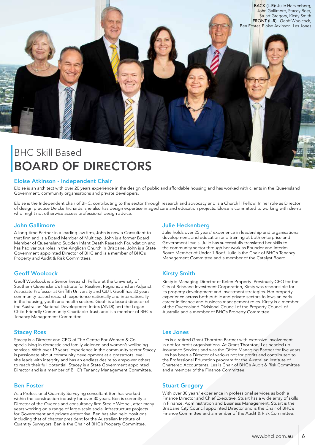

### BHC Skill Based BOARD OF DIRECTORS

#### Eloise Atkinson - Independent Chair

Eloise is an architect with over 20 years experience in the design of public and affordable housing and has worked with clients in the Queensland Government, community organisations and private developers.

Eloise is the Independent chair of BHC, contributing to the sector through research and advocacy and is a Churchill Fellow. In her role as Director of design practice Deicke Richards, she also has design expertise in aged care and education projects. Eloise is committed to working with clients who might not otherwise access professional design advice.

#### John Gallimore

A long-time Partner in a leading law firm, John is now a Consultant to that firm and is a Board Member of Multicap. John is a former Board Member of Queensland Sudden Infant Death Research Foundation and has had various roles in the Anglican Church in Brisbane. John is a State Government appointed Director of BHC and is a member of BHC's Property and Audit & Risk Committees.

#### Geoff Woolcock

Geoff Woolcock is a Senior Research Fellow at the University of Southern Queensland's Institute for Resilient Regions, and an Adjunct Associate Professor at Griffith University and QUT. Geoff has 30 years community-based research experience nationally and internationally in the housing, youth and health sectors. Geoff is a board director of the Australian National Development Index (ANDI) and the Logan Child-Friendly Community Charitable Trust, and is a member of BHC's Tenancy Management Committee.

#### Stacey Ross

Stacey is a Director and CEO of The Centre For Women & Co. specialising in domestic and family violence and women's wellbeing services. With over 19 years' experience in the community sector Stacey is passionate about community development at a grassroots level, she leads with integrity and has an endless desire to empower others to reach their full potential. Stacey is a State Government appointed Director and is a member of BHC's Tenancy Management Committee.

#### Ben Foster

As a Professional Quantity Surveying consultant Ben has worked within the construction industry for over 30 years. Ben is currently a Director of the Queensland consultancy firm Steele Wrobel, after many years working on a range of large-scale social infrastructure projects for Government and private enterprise. Ben has also held positions including that of chapter president for the Australian Institute of Quantity Surveyors. Ben is the Chair of BHC's Property Committee.

#### Julie Heckenberg

Julie holds over 25 years' experience in leadership and organisational development, and education and training at both enterprise and Government levels. Julie has successfully translated her skills to the community sector through her work as Founder and Interim Board Member of Under 1 Roof. Julie is the Chair of BHC's Tenancy Management Committee and a member of the Catalyst Board.

#### Kirsty Smith

Kirsty is Managing Director of Kelen Property. Previously CEO for the City of Brisbane Investment Corporation, Kirsty was responsible for its property development and investment strategies. Her property experience across both public and private sectors follows an early career in finance and business management roles. Kirsty is a member of the Queensland Divisional Council of the Property Council of Australia and a member of BHC's Property Committee.

#### Les Jones

Les is a retired Grant Thornton Partner with extensive involvement in not for profit organisations. At Grant Thornton, Les headed up Assurance Services and was the Office Managing Partner for five years. Les has been a Director of various not for profits and contributed to the Professional Education program for the Australian Institute of Chartered Accountants. Les is Chair of BHC's Audit & Risk Committee and a member of the Finance Committee.

#### Stuart Gregory

With over 30 years' experience in professional services as both a Finance Director and Chief Executive, Stuart has a wide array of skills in Finance, Administration and Business Management. Stuart is the Brisbane City Council appointed Director and is the Chair of BHC's Finance Committee and a member of the Audit & Risk Committee.